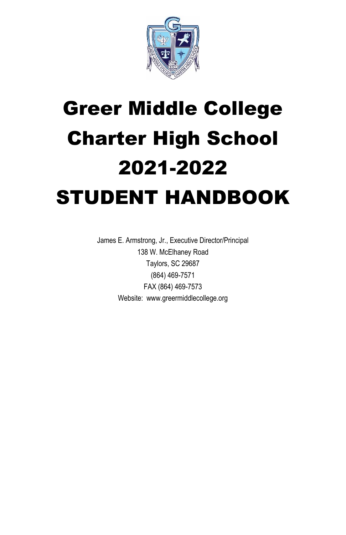

# Greer Middle College Charter High School 2021-2022 STUDENT HANDBOOK

James E. Armstrong, Jr., Executive Director/Principal 138 W. McElhaney Road Taylors, SC 29687 (864) 469-7571 FAX (864) 469-7573 Website: www.greermiddlecollege.org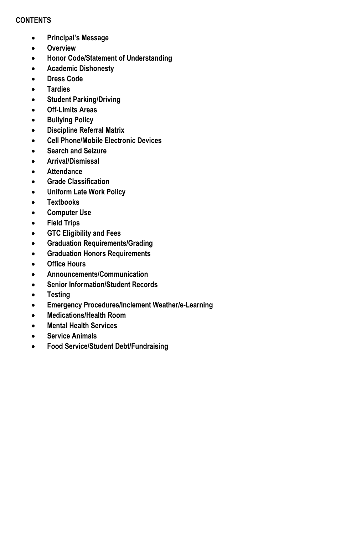## **CONTENTS**

- **Principal's Message**
- **Overview**
- **Honor Code/Statement of Understanding**
- **Academic Dishonesty**
- **Dress Code**
- **Tardies**
- **Student Parking/Driving**
- **Off-Limits Areas**
- **•** Bullying Policy
- **Discipline Referral Matrix**
- **Cell Phone/Mobile Electronic Devices**
- **Search and Seizure**
- **Arrival/Dismissal**
- **Attendance**
- **Grade Classification**
- **Uniform Late Work Policy**
- **Textbooks**
- **Computer Use**
- **Field Trips**
- **GTC Eligibility and Fees**
- **Graduation Requirements/Grading**
- **Graduation Honors Requirements**
- **Office Hours**
- **Announcements/Communication**
- **Senior Information/Student Records**
- **Testing**
- **Emergency Procedures/Inclement Weather/e-Learning**
- **Medications/Health Room**
- **Mental Health Services**
- **Service Animals**
- **Food Service/Student Debt/Fundraising**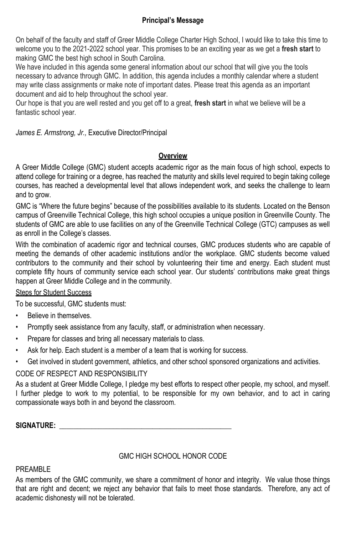## **Principal's Message**

On behalf of the faculty and staff of Greer Middle College Charter High School, I would like to take this time to welcome you to the 2021-2022 school year. This promises to be an exciting year as we get a **fresh start** to making GMC the best high school in South Carolina.

We have included in this agenda some general information about our school that will give you the tools necessary to advance through GMC. In addition, this agenda includes a monthly calendar where a student may write class assignments or make note of important dates. Please treat this agenda as an important document and aid to help throughout the school year.

Our hope is that you are well rested and you get off to a great, **fresh start** in what we believe will be a fantastic school year.

*James E. Armstrong, Jr.,* Executive Director/Principal

## **Overview**

A Greer Middle College (GMC) student accepts academic rigor as the main focus of high school, expects to attend college for training or a degree, has reached the maturity and skills level required to begin taking college courses, has reached a developmental level that allows independent work, and seeks the challenge to learn and to grow.

GMC is "Where the future begins" because of the possibilities available to its students. Located on the Benson campus of Greenville Technical College, this high school occupies a unique position in Greenville County. The students of GMC are able to use facilities on any of the Greenville Technical College (GTC) campuses as well as enroll in the College's classes.

With the combination of academic rigor and technical courses, GMC produces students who are capable of meeting the demands of other academic institutions and/or the workplace. GMC students become valued contributors to the community and their school by volunteering their time and energy. Each student must complete fifty hours of community service each school year. Our students' contributions make great things happen at Greer Middle College and in the community.

# Steps for Student Success

To be successful, GMC students must:

- Believe in themselves.
- Promptly seek assistance from any faculty, staff, or administration when necessary.
- Prepare for classes and bring all necessary materials to class.
- Ask for help. Each student is a member of a team that is working for success.
- Get involved in student government, athletics, and other school sponsored organizations and activities.

# CODE OF RESPECT AND RESPONSIBILITY

As a student at Greer Middle College, I pledge my best efforts to respect other people, my school, and myself. I further pledge to work to my potential, to be responsible for my own behavior, and to act in caring compassionate ways both in and beyond the classroom.

**SIGNATURE: \_\_\_\_\_\_\_\_\_\_\_\_\_\_\_\_\_\_\_\_\_\_\_\_\_\_\_\_\_\_\_\_\_\_\_\_\_\_\_\_\_\_\_\_\_\_\_\_**

# GMC HIGH SCHOOL HONOR CODE

## PRFAMBL<sub>F</sub>

As members of the GMC community, we share a commitment of honor and integrity. We value those things that are right and decent; we reject any behavior that fails to meet those standards. Therefore, any act of academic dishonesty will not be tolerated.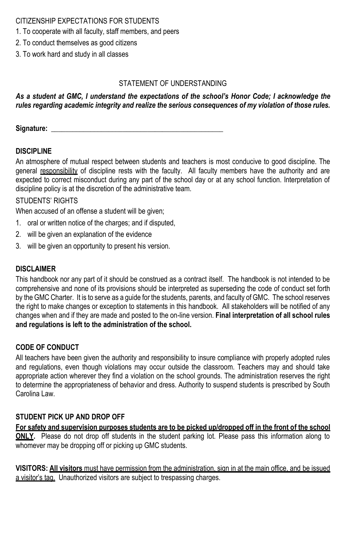## CITIZENSHIP EXPECTATIONS FOR STUDENTS

- 1. To cooperate with all faculty, staff members, and peers
- 2. To conduct themselves as good citizens
- 3. To work hard and study in all classes

## STATEMENT OF UNDERSTANDING

## *As a student at GMC, I understand the expectations of the school's Honor Code; I acknowledge the rules regarding academic integrity and realize the serious consequences of my violation of those rules.*

**Signature: \_\_\_\_\_\_\_\_\_\_\_\_\_\_\_\_\_\_\_\_\_\_\_\_\_\_\_\_\_\_\_\_\_\_\_\_\_\_\_\_\_\_\_\_\_\_\_\_**

## **DISCIPLINE**

An atmosphere of mutual respect between students and teachers is most conducive to good discipline. The general responsibility of discipline rests with the faculty. All faculty members have the authority and are expected to correct misconduct during any part of the school day or at any school function. Interpretation of discipline policy is at the discretion of the administrative team.

## STUDENTS' RIGHTS

When accused of an offense a student will be given;

- 1. oral or written notice of the charges; and if disputed,
- 2. will be given an explanation of the evidence
- 3. will be given an opportunity to present his version.

## **DISCLAIMER**

This handbook nor any part of it should be construed as a contract itself. The handbook is not intended to be comprehensive and none of its provisions should be interpreted as superseding the code of conduct set forth by the GMC Charter. It is to serve as a guide for the students, parents, and faculty of GMC. The school reserves the right to make changes or exception to statements in this handbook. All stakeholders will be notified of any changes when and if they are made and posted to the on-line version. **Final interpretation of all school rules and regulations is left to the administration of the school.**

## **CODE OF CONDUCT**

All teachers have been given the authority and responsibility to insure compliance with properly adopted rules and regulations, even though violations may occur outside the classroom. Teachers may and should take appropriate action wherever they find a violation on the school grounds. The administration reserves the right to determine the appropriateness of behavior and dress. Authority to suspend students is prescribed by South Carolina Law.

## **STUDENT PICK UP AND DROP OFF**

**For safety and supervision purposes students are to be picked up/dropped off in the front of the school ONLY.** Please do not drop off students in the student parking lot. Please pass this information along to whomever may be dropping off or picking up GMC students.

**VISITORS: All visitors** must have permission from the administration, sign in at the main office, and be issued a visitor's tag. Unauthorized visitors are subject to trespassing charges.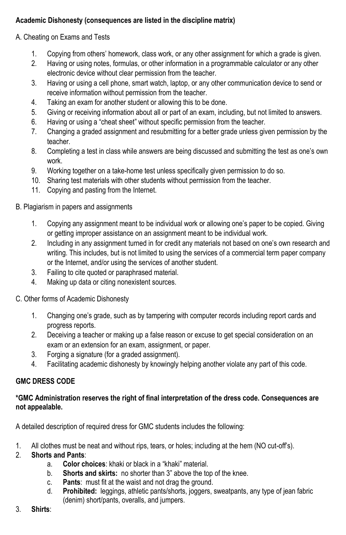# **Academic Dishonesty (consequences are listed in the discipline matrix)**

# A. Cheating on Exams and Tests

- 1. Copying from others' homework, class work, or any other assignment for which a grade is given.
- 2. Having or using notes, formulas, or other information in a programmable calculator or any other electronic device without clear permission from the teacher.
- 3. Having or using a cell phone, smart watch, laptop, or any other communication device to send or receive information without permission from the teacher.
- 4. Taking an exam for another student or allowing this to be done.
- 5. Giving or receiving information about all or part of an exam, including, but not limited to answers.
- 6. Having or using a "cheat sheet" without specific permission from the teacher.
- 7. Changing a graded assignment and resubmitting for a better grade unless given permission by the teacher.
- 8. Completing a test in class while answers are being discussed and submitting the test as one's own work.
- 9. Working together on a take-home test unless specifically given permission to do so.
- 10. Sharing test materials with other students without permission from the teacher.
- 11. Copying and pasting from the Internet.

# B. Plagiarism in papers and assignments

- 1. Copying any assignment meant to be individual work or allowing one's paper to be copied. Giving or getting improper assistance on an assignment meant to be individual work.
- 2. Including in any assignment turned in for credit any materials not based on one's own research and writing. This includes, but is not limited to using the services of a commercial term paper company or the Internet, and/or using the services of another student.
- 3. Failing to cite quoted or paraphrased material.
- 4. Making up data or citing nonexistent sources.

# C. Other forms of Academic Dishonesty

- 1. Changing one's grade, such as by tampering with computer records including report cards and progress reports.
- 2. Deceiving a teacher or making up a false reason or excuse to get special consideration on an exam or an extension for an exam, assignment, or paper.
- 3. Forging a signature (for a graded assignment).
- 4. Facilitating academic dishonesty by knowingly helping another violate any part of this code.

# **GMC DRESS CODE**

## **\*GMC Administration reserves the right of final interpretation of the dress code. Consequences are not appealable.**

A detailed description of required dress for GMC students includes the following:

- 1. All clothes must be neat and without rips, tears, or holes; including at the hem (NO cut-off's).
- 2. **Shorts and Pants**:
	- a. **Color choices**: khaki or black in a "khaki" material.
	- b. **Shorts and skirts:** no shorter than 3" above the top of the knee.
	- c. **Pants**: must fit at the waist and not drag the ground.
	- d. **Prohibited:** leggings, athletic pants/shorts, joggers, sweatpants, any type of jean fabric (denim) short/pants, overalls, and jumpers.
- 3. **Shirts**: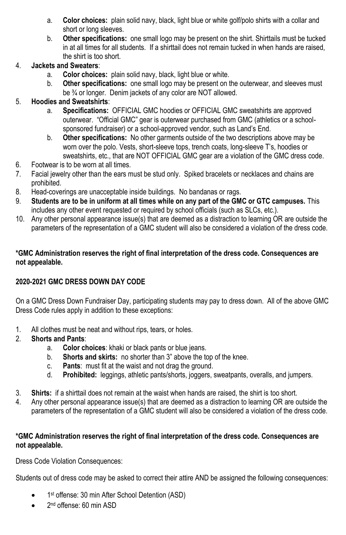- a. **Color choices:** plain solid navy, black, light blue or white golf/polo shirts with a collar and short or long sleeves.
- b. **Other specifications:** one small logo may be present on the shirt. Shirttails must be tucked in at all times for all students. If a shirttail does not remain tucked in when hands are raised, the shirt is too short.

# 4. **Jackets and Sweaters**:

- a. **Color choices:** plain solid navy, black, light blue or white.
- b. **Other specifications:** one small logo may be present on the outerwear, and sleeves must be <sup>3</sup>/<sub>4</sub> or longer. Denim jackets of any color are NOT allowed.

# 5. **Hoodies and Sweatshirts**:

- a. **Specifications:** OFFICIAL GMC hoodies or OFFICIAL GMC sweatshirts are approved outerwear. "Official GMC" gear is outerwear purchased from GMC (athletics or a schoolsponsored fundraiser) or a school-approved vendor, such as Land's End.
- b. **Other specifications:** No other garments outside of the two descriptions above may be worn over the polo. Vests, short-sleeve tops, trench coats, long-sleeve T's, hoodies or sweatshirts, etc., that are NOT OFFICIAL GMC gear are a violation of the GMC dress code.
- 6. Footwear is to be worn at all times.
- 7. Facial jewelry other than the ears must be stud only. Spiked bracelets or necklaces and chains are prohibited.
- 8. Head-coverings are unacceptable inside buildings. No bandanas or rags.
- 9. **Students are to be in uniform at all times while on any part of the GMC or GTC campuses.** This includes any other event requested or required by school officials (such as SLCs, etc.).
- 10. Any other personal appearance issue(s) that are deemed as a distraction to learning OR are outside the parameters of the representation of a GMC student will also be considered a violation of the dress code.

## **\*GMC Administration reserves the right of final interpretation of the dress code. Consequences are not appealable.**

# **2020-2021 GMC DRESS DOWN DAY CODE**

On a GMC Dress Down Fundraiser Day, participating students may pay to dress down. All of the above GMC Dress Code rules apply in addition to these exceptions:

- 1. All clothes must be neat and without rips, tears, or holes.
- 2. **Shorts and Pants**:
	- a. **Color choices**: khaki or black pants or blue jeans.
	- b. **Shorts and skirts:** no shorter than 3" above the top of the knee.
	- c. **Pants**: must fit at the waist and not drag the ground.
	- d. **Prohibited:** leggings, athletic pants/shorts, joggers, sweatpants, overalls, and jumpers.
- 3. **Shirts:** if a shirttail does not remain at the waist when hands are raised, the shirt is too short.
- 4. Any other personal appearance issue(s) that are deemed as a distraction to learning OR are outside the parameters of the representation of a GMC student will also be considered a violation of the dress code.

## **\*GMC Administration reserves the right of final interpretation of the dress code. Consequences are not appealable.**

Dress Code Violation Consequences:

Students out of dress code may be asked to correct their attire AND be assigned the following consequences:

- 1<sup>st</sup> offense: 30 min After School Detention (ASD)
- 2<sup>nd</sup> offense: 60 min ASD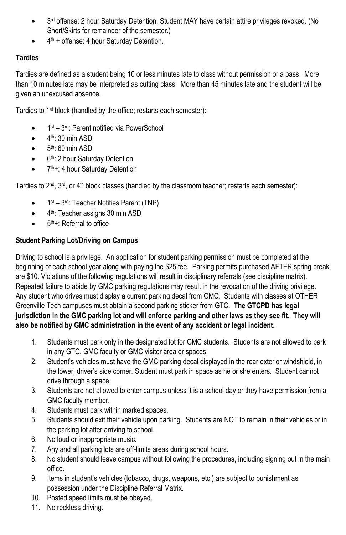- 3<sup>rd</sup> offense: 2 hour Saturday Detention. Student MAY have certain attire privileges revoked. (No Short/Skirts for remainder of the semester.)
- $\bullet$  4<sup>th</sup> + offense: 4 hour Saturday Detention.

# **Tardies**

Tardies are defined as a student being 10 or less minutes late to class without permission or a pass. More than 10 minutes late may be interpreted as cutting class. More than 45 minutes late and the student will be given an unexcused absence.

Tardies to 1st block (handled by the office; restarts each semester):

- 1<sup>st</sup> 3<sup>rd</sup>: Parent notified via PowerSchool
- $\bullet$  4<sup>th</sup>: 30 min ASD
- $\bullet$  5<sup>th</sup>: 60 min ASD
- 6<sup>th</sup>: 2 hour Saturday Detention
- 7<sup>th</sup>+: 4 hour Saturday Detention

Tardies to  $2^{nd}$ ,  $3^{rd}$ , or  $4^{th}$  block classes (handled by the classroom teacher; restarts each semester):

- 1<sup>st</sup> 3<sup>rd</sup>: Teacher Notifies Parent (TNP)
- 4<sup>th</sup>: Teacher assigns 30 min ASD
- $\bullet$  5<sup>th</sup>+: Referral to office

## **Student Parking Lot/Driving on Campus**

Driving to school is a privilege. An application for student parking permission must be completed at the beginning of each school year along with paying the \$25 fee. Parking permits purchased AFTER spring break are \$10. Violations of the following regulations will result in disciplinary referrals (see discipline matrix). Repeated failure to abide by GMC parking regulations may result in the revocation of the driving privilege. Any student who drives must display a current parking decal from GMC. Students with classes at OTHER Greenville Tech campuses must obtain a second parking sticker from GTC. **The GTCPD has legal jurisdiction in the GMC parking lot and will enforce parking and other laws as they see fit. They will also be notified by GMC administration in the event of any accident or legal incident.** 

- 1. Students must park only in the designated lot for GMC students. Students are not allowed to park in any GTC, GMC faculty or GMC visitor area or spaces.
- 2. Student's vehicles must have the GMC parking decal displayed in the rear exterior windshield, in the lower, driver's side corner. Student must park in space as he or she enters. Student cannot drive through a space.
- 3. Students are not allowed to enter campus unless it is a school day or they have permission from a GMC faculty member.
- 4. Students must park within marked spaces.
- 5. Students should exit their vehicle upon parking. Students are NOT to remain in their vehicles or in the parking lot after arriving to school.
- 6. No loud or inappropriate music.
- 7. Any and all parking lots are off-limits areas during school hours.
- 8. No student should leave campus without following the procedures, including signing out in the main office.
- 9. Items in student's vehicles (tobacco, drugs, weapons, etc.) are subject to punishment as possession under the Discipline Referral Matrix.
- 10. Posted speed limits must be obeyed.
- 11. No reckless driving.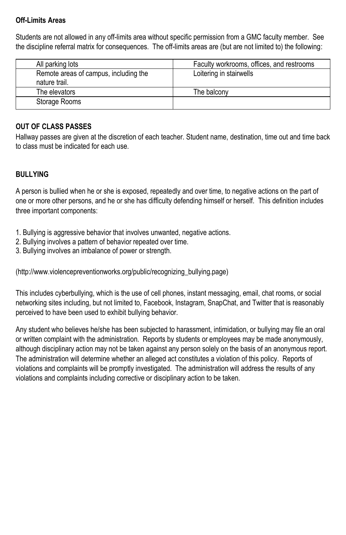## **Off-Limits Areas**

Students are not allowed in any off-limits area without specific permission from a GMC faculty member. See the discipline referral matrix for consequences. The off-limits areas are (but are not limited to) the following:

| All parking lots                      | Faculty workrooms, offices, and restrooms |
|---------------------------------------|-------------------------------------------|
| Remote areas of campus, including the | Loitering in stairwells                   |
| nature trail.                         |                                           |
| The elevators                         | The balcony                               |
| Storage Rooms                         |                                           |

# **OUT OF CLASS PASSES**

Hallway passes are given at the discretion of each teacher. Student name, destination, time out and time back to class must be indicated for each use.

## **BULLYING**

A person is bullied when he or she is exposed, repeatedly and over time, to negative actions on the part of one or more other persons, and he or she has difficulty defending himself or herself. This definition includes three important components:

- 1. Bullying is aggressive behavior that involves unwanted, negative actions.
- 2. Bullying involves a pattern of behavior repeated over time.
- 3. Bullying involves an imbalance of power or strength.

(http://www.violencepreventionworks.org/public/recognizing\_bullying.page)

This includes cyberbullying, which is the use of cell phones, instant messaging, email, chat rooms, or social networking sites including, but not limited to, Facebook, Instagram, SnapChat, and Twitter that is reasonably perceived to have been used to exhibit bullying behavior.

Any student who believes he/she has been subjected to harassment, intimidation, or bullying may file an oral or written complaint with the administration. Reports by students or employees may be made anonymously, although disciplinary action may not be taken against any person solely on the basis of an anonymous report. The administration will determine whether an alleged act constitutes a violation of this policy. Reports of violations and complaints will be promptly investigated. The administration will address the results of any violations and complaints including corrective or disciplinary action to be taken.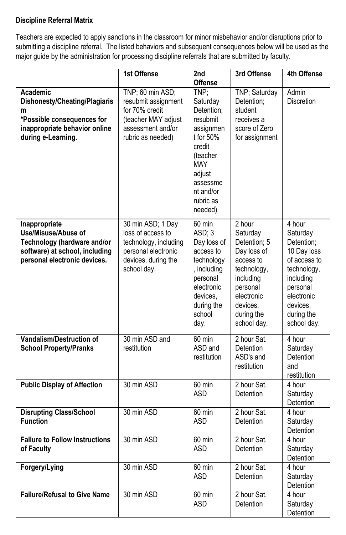## **Discipline Referral Matrix**

Teachers are expected to apply sanctions in the classroom for minor misbehavior and/or disruptions prior to submitting a discipline referral. The listed behaviors and subsequent consequences below will be used as the major guide by the administration for processing discipline referrals that are submitted by faculty.

|                                                                                                                                       | 1st Offense                                                                                                                  | 2nd<br><b>Offense</b>                                                                                                                                               | 3rd Offense                                                                                                                                                   | 4th Offense                                                                                                                                                    |
|---------------------------------------------------------------------------------------------------------------------------------------|------------------------------------------------------------------------------------------------------------------------------|---------------------------------------------------------------------------------------------------------------------------------------------------------------------|---------------------------------------------------------------------------------------------------------------------------------------------------------------|----------------------------------------------------------------------------------------------------------------------------------------------------------------|
| Academic<br>Dishonesty/Cheating/Plagiaris<br>m<br>*Possible consequences for<br>inappropriate behavior online<br>during e-Learning.   | TNP; 60 min ASD;<br>resubmit assignment<br>for 70% credit<br>(teacher MAY adjust<br>assessment and/or<br>rubric as needed)   | TNP;<br>Saturday<br>Detention;<br>resubmit<br>assignmen<br>t for 50%<br>credit<br>(teacher<br><b>MAY</b><br>adjust<br>assessme<br>nt and/or<br>rubric as<br>needed) | TNP; Saturday<br>Detention:<br>student<br>receives a<br>score of Zero<br>for assignment                                                                       | Admin<br><b>Discretion</b>                                                                                                                                     |
| Inappropriate<br>Use/Misuse/Abuse of<br>Technology (hardware and/or<br>software) at school, including<br>personal electronic devices. | 30 min ASD; 1 Day<br>loss of access to<br>technology, including<br>personal electronic<br>devices, during the<br>school day. | 60 min<br>ASD; 3<br>Day loss of<br>access to<br>technology<br>, including<br>personal<br>electronic<br>devices.<br>during the<br>school<br>day.                     | 2 hour<br>Saturday<br>Detention; 5<br>Day loss of<br>access to<br>technology,<br>including<br>personal<br>electronic<br>devices.<br>during the<br>school day. | 4 hour<br>Saturday<br>Detention;<br>10 Day loss<br>of access to<br>technology,<br>including<br>personal<br>electronic<br>devices.<br>during the<br>school day. |
| <b>Vandalism/Destruction of</b><br><b>School Property/Pranks</b>                                                                      | 30 min ASD and<br>restitution                                                                                                | 60 min<br>ASD and<br>restitution                                                                                                                                    | 2 hour Sat.<br>Detention<br>ASD's and<br>restitution                                                                                                          | 4 hour<br>Saturday<br>Detention<br>and<br>restitution                                                                                                          |
| <b>Public Display of Affection</b>                                                                                                    | 30 min ASD                                                                                                                   | 60 min<br><b>ASD</b>                                                                                                                                                | 2 hour Sat.<br>Detention                                                                                                                                      | 4 hour<br>Saturday<br>Detention                                                                                                                                |
| <b>Disrupting Class/School</b><br><b>Function</b>                                                                                     | 30 min ASD                                                                                                                   | 60 min<br><b>ASD</b>                                                                                                                                                | 2 hour Sat.<br>Detention                                                                                                                                      | 4 hour<br>Saturday<br>Detention                                                                                                                                |
| <b>Failure to Follow Instructions</b><br>of Faculty                                                                                   | 30 min ASD                                                                                                                   | 60 min<br><b>ASD</b>                                                                                                                                                | 2 hour Sat.<br>Detention                                                                                                                                      | 4 hour<br>Saturday<br>Detention                                                                                                                                |
| Forgery/Lying                                                                                                                         | 30 min ASD                                                                                                                   | 60 min<br><b>ASD</b>                                                                                                                                                | 2 hour Sat.<br>Detention                                                                                                                                      | $\overline{4}$ hour<br>Saturday<br>Detention                                                                                                                   |
| <b>Failure/Refusal to Give Name</b>                                                                                                   | 30 min ASD                                                                                                                   | 60 min<br><b>ASD</b>                                                                                                                                                | 2 hour Sat.<br>Detention                                                                                                                                      | 4 hour<br>Saturday<br>Detention                                                                                                                                |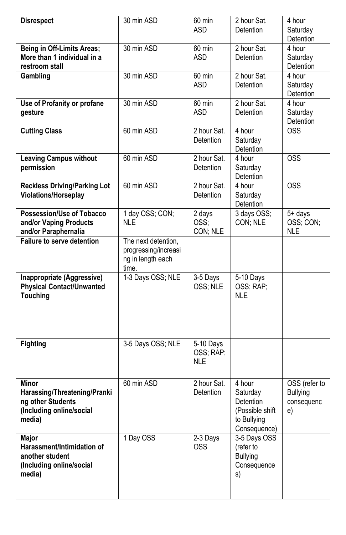| <b>Disrespect</b>                                                                                       | $\overline{30}$ min ASD                                                   | 60 min<br><b>ASD</b>                 | 2 hour Sat.<br><b>Detention</b>                                                   | 4 hour<br>Saturday<br>Detention                      |
|---------------------------------------------------------------------------------------------------------|---------------------------------------------------------------------------|--------------------------------------|-----------------------------------------------------------------------------------|------------------------------------------------------|
| Being in Off-Limits Areas;<br>More than 1 individual in a<br>restroom stall                             | 30 min ASD                                                                | 60 min<br>ASD                        | 2 hour Sat.<br>Detention                                                          | 4 hour<br>Saturday<br>Detention                      |
| Gambling                                                                                                | 30 min ASD                                                                | 60 min<br><b>ASD</b>                 | 2 hour Sat.<br>Detention                                                          | 4 hour<br>Saturday<br>Detention                      |
| Use of Profanity or profane<br>gesture                                                                  | 30 min ASD                                                                | 60 min<br>ASD                        | 2 hour Sat.<br>Detention                                                          | 4 hour<br>Saturday<br>Detention                      |
| <b>Cutting Class</b>                                                                                    | 60 min ASD                                                                | 2 hour Sat.<br>Detention             | 4 hour<br>Saturday<br>Detention                                                   | <b>OSS</b>                                           |
| <b>Leaving Campus without</b><br>permission                                                             | 60 min ASD                                                                | 2 hour Sat.<br>Detention             | 4 hour<br>Saturday<br>Detention                                                   | $\overline{OSS}$                                     |
| <b>Reckless Driving/Parking Lot</b><br>Violations/Horseplay                                             | 60 min ASD                                                                | 2 hour Sat.<br>Detention             | 4 hour<br>Saturday<br>Detention                                                   | <b>OSS</b>                                           |
| <b>Possession/Use of Tobacco</b><br>and/or Vaping Products<br>and/or Paraphernalia                      | 1 day OSS; CON;<br>NLE.                                                   | 2 days<br>OSS;<br>CON; NLE           | 3 days OSS;<br>CON; NLE                                                           | 5+ days<br>OSS; CON;<br><b>NLE</b>                   |
| <b>Failure to serve detention</b>                                                                       | The next detention,<br>progressing/increasi<br>ng in length each<br>time. |                                      |                                                                                   |                                                      |
| Inappropriate (Aggressive)<br><b>Physical Contact/Unwanted</b><br><b>Touching</b>                       | 1-3 Days OSS; NLE                                                         | 3-5 Days<br>OSS; NLE                 | 5-10 Days<br>OSS; RAP;<br><b>NLE</b>                                              |                                                      |
| <b>Fighting</b>                                                                                         | 3-5 Days OSS; NLE                                                         | 5-10 Days<br>OSS; RAP;<br><b>NLE</b> |                                                                                   |                                                      |
| <b>Minor</b><br>Harassing/Threatening/Pranki<br>ng other Students<br>(Including online/social<br>media) | 60 min ASD                                                                | 2 hour Sat.<br>Detention             | 4 hour<br>Saturday<br>Detention<br>(Possible shift<br>to Bullying<br>Consequence) | OSS (refer to<br><b>Bullying</b><br>consequenc<br>e) |
| <b>Major</b><br>Harassment/Intimidation of<br>another student<br>(Including online/social<br>media)     | 1 Day OSS                                                                 | 2-3 Days<br><b>OSS</b>               | 3-5 Days OSS<br>(refer to<br><b>Bullying</b><br>Consequence<br>s)                 |                                                      |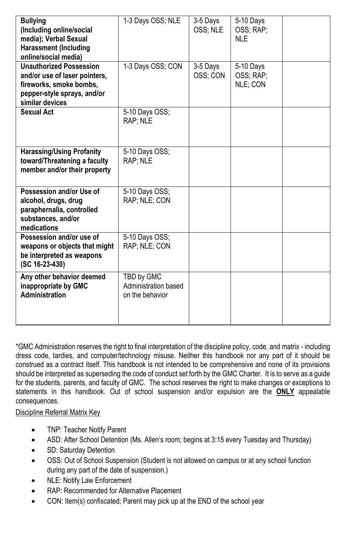| <b>Bullying</b><br>(Including online/social<br>media); Verbal Sexual<br><b>Harassment (Including</b><br>online/social media)                 | 1-3 Days OSS; NLE                                     | 3-5 Days<br>OSS; NLE | 5-10 Days<br>OSS: RAP:<br>NI F     |  |
|----------------------------------------------------------------------------------------------------------------------------------------------|-------------------------------------------------------|----------------------|------------------------------------|--|
| <b>Unauthorized Possession</b><br>and/or use of laser pointers,<br>fireworks, smoke bombs,<br>pepper-style sprays, and/or<br>similar devices | 1-3 Days OSS; CON                                     | 3-5 Days<br>OSS; CON | 5-10 Days<br>OSS; RAP;<br>NLE; CON |  |
| <b>Sexual Act</b>                                                                                                                            | 5-10 Days OSS;<br>RAP; NLE                            |                      |                                    |  |
| <b>Harassing/Using Profanity</b><br>toward/Threatening a faculty<br>member and/or their property                                             | 5-10 Days OSS;<br>RAP: NLE                            |                      |                                    |  |
| Possession and/or Use of<br>alcohol, drugs, drug<br>paraphernalia, controlled<br>substances, and/or<br>medications                           | 5-10 Days OSS;<br>RAP: NLE: CON                       |                      |                                    |  |
| Possession and/or use of<br>weapons or objects that might<br>be interpreted as weapons<br>(SC 16-23-430)                                     | $\overline{5}$ -10 Days OSS;<br>RAP; NLE; CON         |                      |                                    |  |
| Any other behavior deemed<br>inappropriate by GMC<br><b>Administration</b>                                                                   | TBD by GMC<br>Administration based<br>on the behavior |                      |                                    |  |

\*GMC Administration reserves the right to final interpretation of the discipline policy, code, and matrix - including dress code, tardies, and computer/technology misuse. Neither this handbook nor any part of it should be construed as a contract itself. This handbook is not intended to be comprehensive and none of its provisions should be interpreted as superseding the code of conduct set forth by the GMC Charter. It is to serve as a guide for the students, parents, and faculty of GMC. The school reserves the right to make changes or exceptions to statements in this handbook. Out of school suspension and/or expulsion are the **ONLY** appealable consequences.

Discipline Referral Matrix Key

- TNP: Teacher Notify Parent
- ASD: After School Detention (Ms. Allen's room; begins at 3:15 every Tuesday and Thursday)
- SD: Saturday Detention
- OSS: Out of School Suspension (Student is not allowed on campus or at any school function during any part of the date of suspension.)
- NLE: Notify Law Enforcement
- RAP: Recommended for Alternative Placement
- CON: Item(s) confiscated; Parent may pick up at the END of the school year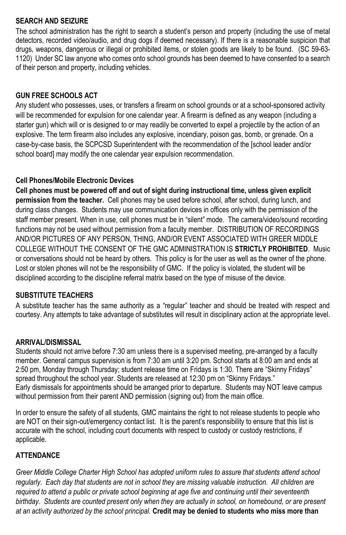## **SEARCH AND SEIZURE**

The school administration has the right to search a student's person and property (including the use of metal detectors, recorded video/audio, and drug dogs if deemed necessary). If there is a reasonable suspicion that drugs, weapons, dangerous or illegal or prohibited items, or stolen goods are likely to be found. (SC 59-63- 1120) Under SC law anyone who comes onto school grounds has been deemed to have consented to a search of their person and property, including vehicles.

# **GUN FREE SCHOOLS ACT**

Any student who possesses, uses, or transfers a firearm on school grounds or at a school-sponsored activity will be recommended for expulsion for one calendar year. A firearm is defined as any weapon (including a starter gun) which will or is designed to or may readily be converted to expel a projectile by the action of an explosive. The term firearm also includes any explosive, incendiary, poison gas, bomb, or grenade. On a case-by-case basis, the SCPCSD Superintendent with the recommendation of the [school leader and/or school board] may modify the one calendar year expulsion recommendation.

## **Cell Phones/Mobile Electronic Devices**

**Cell phones must be powered off and out of sight during instructional time, unless given explicit permission from the teacher.** Cell phones may be used before school, after school, during lunch, and during class changes. Students may use communication devices in offices only with the permission of the staff member present. When in use, cell phones must be in "silent" mode. The camera/video/sound recording functions may not be used without permission from a faculty member. DISTRIBUTION OF RECORDINGS AND/OR PICTURES OF ANY PERSON, THING, AND/OR EVENT ASSOCIATED WITH GREER MIDDLE COLLEGE WITHOUT THE CONSENT OF THE GMC ADMINISTRATION IS **STRICTLY PROHIBITED**. Music or conversations should not be heard by others. This policy is for the user as well as the owner of the phone. Lost or stolen phones will not be the responsibility of GMC. If the policy is violated, the student will be disciplined according to the discipline referral matrix based on the type of misuse of the device.

## **SUBSTITUTE TEACHERS**

A substitute teacher has the same authority as a "regular" teacher and should be treated with respect and courtesy. Any attempts to take advantage of substitutes will result in disciplinary action at the appropriate level.

## **ARRIVAL/DISMISSAL**

Students should not arrive before 7:30 am unless there is a supervised meeting, pre-arranged by a faculty member. General campus supervision is from 7:30 am until 3:20 pm. School starts at 8:00 am and ends at 2:50 pm, Monday through Thursday; student release time on Fridays is 1:30. There are "Skinny Fridays" spread throughout the school year. Students are released at 12:30 pm on "Skinny Fridays." Early dismissals for appointments should be arranged prior to departure. Students may NOT leave campus without permission from their parent AND permission (signing out) from the main office.

In order to ensure the safety of all students, GMC maintains the right to not release students to people who are NOT on their sign-out/emergency contact list. It is the parent's responsibility to ensure that this list is accurate with the school, including court documents with respect to custody or custody restrictions, if applicable.

# **ATTENDANCE**

*Greer Middle College Charter High School has adopted uniform rules to assure that students attend school*  regularly. Each day that students are not in school they are missing valuable instruction. All children are *required to attend a public or private school beginning at age five and continuing until their seventeenth birthday. Students are counted present only when they are actually in school, on homebound, or are present at an activity authorized by the school principal.* **Credit may be denied to students who miss more than**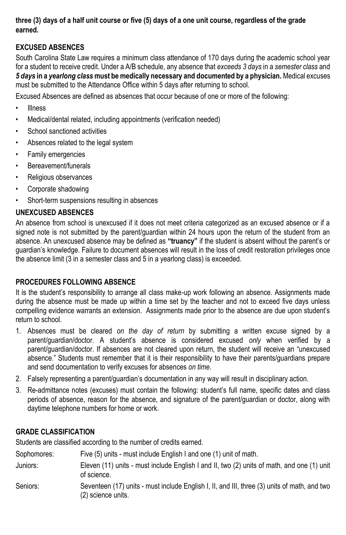## **three (3) days of a half unit course or five (5) days of a one unit course, regardless of the grade earned.**

# **EXCUSED ABSENCES**

South Carolina State Law requires a minimum class attendance of 170 days during the academic school year for a student to receive credit. Under a A/B schedule, any absence that *exceeds 3 days* in a *semester class* and *5 days* **in a** *yearlong class* **must be medically necessary and documented by a physician.** Medical excuses must be submitted to the Attendance Office within 5 days after returning to school.

Excused Absences are defined as absences that occur because of one or more of the following:

- Illness
- Medical/dental related, including appointments (verification needed)
- School sanctioned activities
- Absences related to the legal system
- Family emergencies
- Bereavement/funerals
- Religious observances
- Corporate shadowing
- Short-term suspensions resulting in absences

# **UNEXCUSED ABSENCES**

An absence from school is unexcused if it does not meet criteria categorized as an excused absence or if a signed note is not submitted by the parent/guardian within 24 hours upon the return of the student from an absence. An unexcused absence may be defined as **"truancy"** if the student is absent without the parent's or guardian's knowledge. Failure to document absences will result in the loss of credit restoration privileges once the absence limit (3 in a semester class and 5 in a yearlong class) is exceeded.

# **PROCEDURES FOLLOWING ABSENCE**

It is the student's responsibility to arrange all class make-up work following an absence. Assignments made during the absence must be made up within a time set by the teacher and not to exceed five days unless compelling evidence warrants an extension. Assignments made prior to the absence are due upon student's return to school.

- 1. Absences must be cleared *on the day of return* by submitting a written excuse signed by a parent/guardian/doctor. A student's absence is considered excused *only* when verified by a parent/guardian/doctor. If absences are not cleared upon return, the student will receive an "unexcused absence." Students must remember that it is their responsibility to have their parents/guardians prepare and send documentation to verify excuses for absences *on time*.
- 2. Falsely representing a parent/guardian's documentation in any way will result in disciplinary action.
- 3. Re-admittance notes (excuses) must contain the following: student's full name, specific dates and class periods of absence, reason for the absence, and signature of the parent/guardian or doctor, along with daytime telephone numbers for home or work.

# **GRADE CLASSIFICATION**

Students are classified according to the number of credits earned.

| Sophomores: | Five (5) units - must include English I and one (1) unit of math.                                                  |
|-------------|--------------------------------------------------------------------------------------------------------------------|
| Juniors:    | Eleven (11) units - must include English I and II, two (2) units of math, and one (1) unit<br>of science.          |
| Seniors:    | Seventeen (17) units - must include English I, II, and III, three (3) units of math, and two<br>(2) science units. |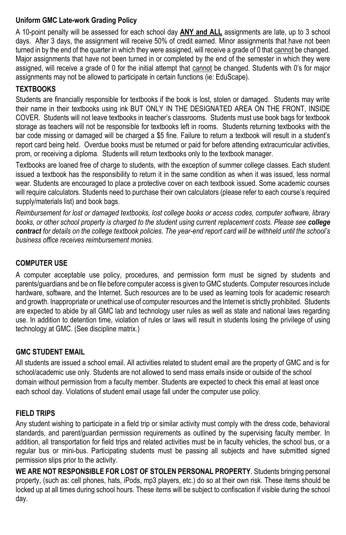## **Uniform GMC Late-work Grading Policy**

A 10-point penalty will be assessed for each school day **ANY and ALL** assignments are late, up to 3 school days. After 3 days, the assignment will receive 50% of credit earned. Minor assignments that have not been turned in by the end of the quarter in which they were assigned, will receive a grade of 0 that cannot be changed. Major assignments that have not been turned in or completed by the end of the semester in which they were assigned, will receive a grade of 0 for the initial attempt that cannot be changed. Students with 0's for major assignments may not be allowed to participate in certain functions (ie: EduScape).

# **TEXTBOOKS**

Students are financially responsible for textbooks if the book is lost, stolen or damaged. Students may write their name in their textbooks using ink BUT ONLY IN THE DESIGNATED AREA ON THE FRONT, INSIDE COVER. Students will not leave textbooks in teacher's classrooms. Students must use book bags for textbook storage as teachers will not be responsible for textbooks left in rooms. Students returning textbooks with the bar code missing or damaged will be charged a \$5 fine. Failure to return a textbook will result in a student's report card being held. Overdue books must be returned or paid for before attending extracurricular activities, prom, or receiving a diploma. Students will return textbooks only to the textbook manager.

Textbooks are loaned free of charge to students, with the exception of summer college classes. Each student issued a textbook has the responsibility to return it in the same condition as when it was issued, less normal wear. Students are encouraged to place a protective cover on each textbook issued. Some academic courses will require calculators. Students need to purchase their own calculators (please refer to each course's required supply/materials list) and book bags.

*Reimbursement for lost or damaged textbooks, lost college books or access codes, computer software, library books, or other school property is charged to the student using current replacement costs. Please see college contract for details on the college textbook policies. The year-end report card will be withheld until the school's business office receives reimbursement monies.*

# **COMPUTER USE**

A computer acceptable use policy, procedures, and permission form must be signed by students and parents/guardians and be on file before computer access is given to GMC students. Computer resources include hardware, software, and the Internet. Such resources are to be used as learning tools for academic research and growth. Inappropriate or unethical use of computer resources and the Internet is strictly prohibited. Students are expected to abide by all GMC lab and technology user rules as well as state and national laws regarding use. In addition to detention time, violation of rules or laws will result in students losing the privilege of using technology at GMC. (See discipline matrix.)

# **GMC STUDENT EMAIL**

All students are issued a school email. All activities related to student email are the property of GMC and is for school/academic use only. Students are not allowed to send mass emails inside or outside of the school domain without permission from a faculty member. Students are expected to check this email at least once each school day. Violations of student email usage fall under the computer use policy.

# **FIELD TRIPS**

Any student wishing to participate in a field trip or similar activity must comply with the dress code, behavioral standards, and parent/guardian permission requirements as outlined by the supervising faculty member. In addition, all transportation for field trips and related activities must be in faculty vehicles, the school bus, or a regular bus or mini-bus. Participating students must be passing all subjects and have submitted signed permission slips prior to the activity.

**WE ARE NOT RESPONSIBLE FOR LOST OF STOLEN PERSONAL PROPERTY**. Students bringing personal property, (such as: cell phones, hats, iPods, mp3 players, etc.) do so at their own risk. These items should be locked up at all times during school hours. These items will be subject to confiscation if visible during the school day.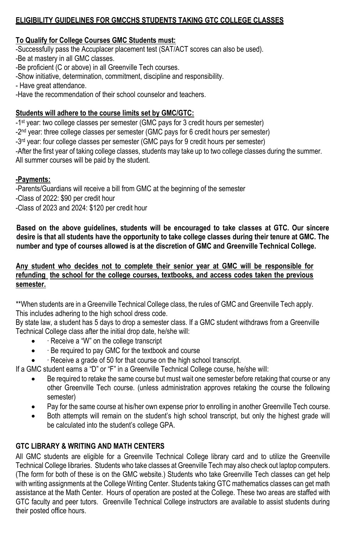# **ELIGIBILITY GUIDELINES FOR GMCCHS STUDENTS TAKING GTC COLLEGE CLASSES**

# **To Qualify for College Courses GMC Students must:**

-Successfully pass the Accuplacer placement test (SAT/ACT scores can also be used).

-Be at mastery in all GMC classes.

-Be proficient (C or above) in all Greenville Tech courses.

-Show initiative, determination, commitment, discipline and responsibility.

- Have great attendance.

-Have the recommendation of their school counselor and teachers.

# **Students will adhere to the course limits set by GMC/GTC:**

-1 st year: two college classes per semester (GMC pays for 3 credit hours per semester)

-2<sup>nd</sup> year: three college classes per semester (GMC pays for 6 credit hours per semester)

-3<sup>rd</sup> year: four college classes per semester (GMC pays for 9 credit hours per semester)

-After the first year of taking college classes, students may take up to two college classes during the summer. All summer courses will be paid by the student.

# **-Payments:**

-Parents/Guardians will receive a bill from GMC at the beginning of the semester -Class of 2022: \$90 per credit hour -Class of 2023 and 2024: \$120 per credit hour

**Based on the above guidelines, students will be encouraged to take classes at GTC. Our sincere desire is that all students have the opportunity to take college classes during their tenure at GMC. The number and type of courses allowed is at the discretion of GMC and Greenville Technical College.**

**Any student who decides not to complete their senior year at GMC will be responsible for refunding the school for the college courses, textbooks, and access codes taken the previous semester.**

\*\*When students are in a Greenville Technical College class, the rules of GMC and Greenville Tech apply. This includes adhering to the high school dress code.

By state law, a student has 5 days to drop a semester class. If a GMC student withdraws from a Greenville Technical College class after the initial drop date, he/she will:

- ∙ Receive a "W" on the college transcript
- ∙ Be required to pay GMC for the textbook and course
- ∙ Receive a grade of 50 for that course on the high school transcript.

If a GMC student earns a "D" or "F" in a Greenville Technical College course, he/she will:

- Be required to retake the same course but must wait one semester before retaking that course or any other Greenville Tech course. (unless administration approves retaking the course the following semester)
- Pay for the same course at his/her own expense prior to enrolling in another Greenville Tech course.
- Both attempts will remain on the student's high school transcript, but only the highest grade will be calculated into the student's college GPA.

# **GTC LIBRARY & WRITING AND MATH CENTERS**

All GMC students are eligible for a Greenville Technical College library card and to utilize the Greenville Technical College libraries. Students who take classes at Greenville Tech may also check out laptop computers. (The form for both of these is on the GMC website.) Students who take Greenville Tech classes can get help with writing assignments at the College Writing Center. Students taking GTC mathematics classes can get math assistance at the Math Center. Hours of operation are posted at the College. These two areas are staffed with GTC faculty and peer tutors. Greenville Technical College instructors are available to assist students during their posted office hours.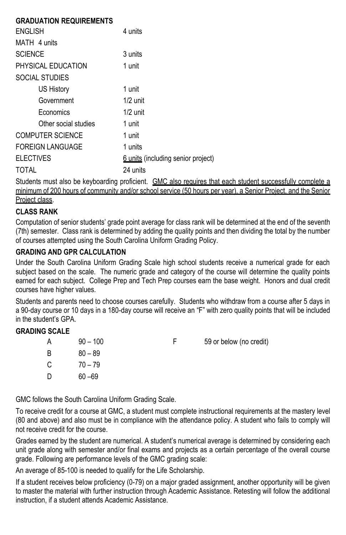| <b>GRADUATION REQUIREMENTS</b> |                                    |
|--------------------------------|------------------------------------|
| <b>ENGLISH</b>                 | 4 units                            |
| MATH 4 units                   |                                    |
| <b>SCIENCE</b>                 | 3 units                            |
| PHYSICAL EDUCATION             | 1 unit                             |
| <b>SOCIAL STUDIES</b>          |                                    |
| US History                     | 1 unit                             |
| Government                     | $1/2$ unit                         |
| Economics                      | $1/2$ unit                         |
| Other social studies           | 1 unit                             |
| <b>COMPUTER SCIENCE</b>        | 1 unit                             |
| <b>FOREIGN LANGUAGE</b>        | 1 units                            |
| <b>ELECTIVES</b>               | 6 units (including senior project) |
| TOTAI                          | 24 units                           |
|                                |                                    |

Students must also be keyboarding proficient. GMC also requires that each student successfully complete a minimum of 200 hours of community and/or school service (50 hours per year), a Senior Project, and the Senior Project class.

# **CLASS RANK**

Computation of senior students' grade point average for class rank will be determined at the end of the seventh (7th) semester. Class rank is determined by adding the quality points and then dividing the total by the number of courses attempted using the South Carolina Uniform Grading Policy.

# **GRADING AND GPR CALCULATION**

Under the South Carolina Uniform Grading Scale high school students receive a numerical grade for each subject based on the scale. The numeric grade and category of the course will determine the quality points earned for each subject. College Prep and Tech Prep courses earn the base weight. Honors and dual credit courses have higher values.

Students and parents need to choose courses carefully. Students who withdraw from a course after 5 days in a 90-day course or 10 days in a 180-day course will receive an "F" with zero quality points that will be included in the student's GPA.

## **GRADING SCALE**

| Α   | $90 - 100$ | 59 or below (no credit) |
|-----|------------|-------------------------|
| B   | $80 - 89$  |                         |
| - C | $70 - 79$  |                         |
| D   | $60 - 69$  |                         |

GMC follows the South Carolina Uniform Grading Scale.

To receive credit for a course at GMC, a student must complete instructional requirements at the mastery level (80 and above) and also must be in compliance with the attendance policy. A student who fails to comply will not receive credit for the course.

Grades earned by the student are numerical. A student's numerical average is determined by considering each unit grade along with semester and/or final exams and projects as a certain percentage of the overall course grade. Following are performance levels of the GMC grading scale:

An average of 85-100 is needed to qualify for the Life Scholarship.

If a student receives below proficiency (0-79) on a major graded assignment, another opportunity will be given to master the material with further instruction through Academic Assistance. Retesting will follow the additional instruction, if a student attends Academic Assistance.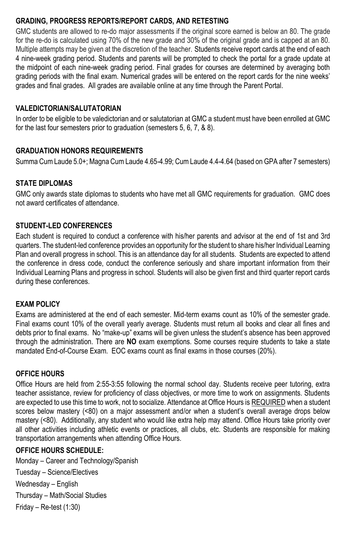# **GRADING, PROGRESS REPORTS/REPORT CARDS, AND RETESTING**

GMC students are allowed to re-do major assessments if the original score earned is below an 80. The grade for the re-do is calculated using 70% of the new grade and 30% of the original grade and is capped at an 80. Multiple attempts may be given at the discretion of the teacher. Students receive report cards at the end of each 4 nine-week grading period. Students and parents will be prompted to check the portal for a grade update at the midpoint of each nine-week grading period. Final grades for courses are determined by averaging both grading periods with the final exam. Numerical grades will be entered on the report cards for the nine weeks' grades and final grades. All grades are available online at any time through the Parent Portal.

## **VALEDICTORIAN/SALUTATORIAN**

In order to be eligible to be valedictorian and or salutatorian at GMC a student must have been enrolled at GMC for the last four semesters prior to graduation (semesters 5, 6, 7, & 8).

## **GRADUATION HONORS REQUIREMENTS**

Summa Cum Laude 5.0+; Magna Cum Laude 4.65-4.99; Cum Laude 4.4-4.64 (based on GPA after 7 semesters)

## **STATE DIPLOMAS**

GMC only awards state diplomas to students who have met all GMC requirements for graduation. GMC does not award certificates of attendance.

## **STUDENT-LED CONFERENCES**

Each student is required to conduct a conference with his/her parents and advisor at the end of 1st and 3rd quarters. The student-led conference provides an opportunity for the student to share his/her Individual Learning Plan and overall progress in school. This is an attendance day for all students. Students are expected to attend the conference in dress code, conduct the conference seriously and share important information from their Individual Learning Plans and progress in school. Students will also be given first and third quarter report cards during these conferences.

#### **EXAM POLICY**

Exams are administered at the end of each semester. Mid-term exams count as 10% of the semester grade. Final exams count 10% of the overall yearly average. Students must return all books and clear all fines and debts prior to final exams. No "make-up" exams will be given unless the student's absence has been approved through the administration. There are **NO** exam exemptions. Some courses require students to take a state mandated End-of-Course Exam. EOC exams count as final exams in those courses (20%).

#### **OFFICE HOURS**

Office Hours are held from 2:55-3:55 following the normal school day. Students receive peer tutoring, extra teacher assistance, review for proficiency of class objectives, or more time to work on assignments. Students are expected to use this time to work, not to socialize. Attendance at Office Hours is REQUIRED when a student scores below mastery (<80) on a major assessment and/or when a student's overall average drops below mastery (<80). Additionally, any student who would like extra help may attend. Office Hours take priority over all other activities including athletic events or practices, all clubs, etc. Students are responsible for making transportation arrangements when attending Office Hours.

## **OFFICE HOURS SCHEDULE:**

Monday – Career and Technology/Spanish Tuesday – Science/Electives Wednesday – English Thursday – Math/Social Studies Friday – Re-test (1:30)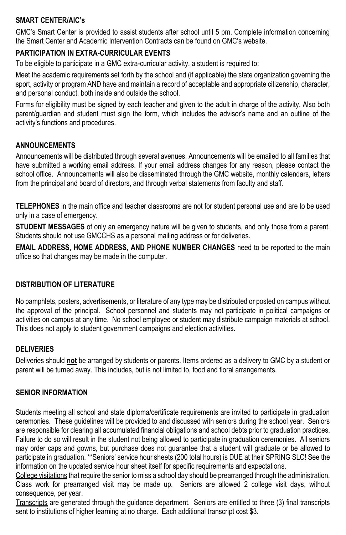## **SMART CENTER/AIC's**

GMC's Smart Center is provided to assist students after school until 5 pm. Complete information concerning the Smart Center and Academic Intervention Contracts can be found on GMC's website.

## **PARTICIPATION IN EXTRA-CURRICULAR EVENTS**

To be eligible to participate in a GMC extra-curricular activity, a student is required to:

Meet the academic requirements set forth by the school and (if applicable) the state organization governing the sport, activity or program AND have and maintain a record of acceptable and appropriate citizenship, character, and personal conduct, both inside and outside the school.

Forms for eligibility must be signed by each teacher and given to the adult in charge of the activity. Also both parent/guardian and student must sign the form, which includes the advisor's name and an outline of the activity's functions and procedures.

## **ANNOUNCEMENTS**

Announcements will be distributed through several avenues. Announcements will be emailed to all families that have submitted a working email address. If your email address changes for any reason, please contact the school office. Announcements will also be disseminated through the GMC website, monthly calendars, letters from the principal and board of directors, and through verbal statements from faculty and staff.

**TELEPHONES** in the main office and teacher classrooms are not for student personal use and are to be used only in a case of emergency.

**STUDENT MESSAGES** of only an emergency nature will be given to students, and only those from a parent. Students should not use GMCCHS as a personal mailing address or for deliveries.

**EMAIL ADDRESS, HOME ADDRESS, AND PHONE NUMBER CHANGES** need to be reported to the main office so that changes may be made in the computer.

## **DISTRIBUTION OF LITERATURE**

No pamphlets, posters, advertisements, or literature of any type may be distributed or posted on campus without the approval of the principal. School personnel and students may not participate in political campaigns or activities on campus at any time. No school employee or student may distribute campaign materials at school. This does not apply to student government campaigns and election activities.

## **DELIVERIES**

Deliveries should **not** be arranged by students or parents. Items ordered as a delivery to GMC by a student or parent will be turned away. This includes, but is not limited to, food and floral arrangements.

## **SENIOR INFORMATION**

Students meeting all school and state diploma/certificate requirements are invited to participate in graduation ceremonies. These guidelines will be provided to and discussed with seniors during the school year. Seniors are responsible for clearing all accumulated financial obligations and school debts prior to graduation practices. Failure to do so will result in the student not being allowed to participate in graduation ceremonies. All seniors may order caps and gowns, but purchase does not guarantee that a student will graduate or be allowed to participate in graduation. \*\*Seniors' service hour sheets (200 total hours) is DUE at their SPRING SLC! See the information on the updated service hour sheet itself for specific requirements and expectations.

College visitations that require the senior to miss a school day should be prearranged through the administration. Class work for prearranged visit may be made up. Seniors are allowed 2 college visit days, without consequence, per year.

Transcripts are generated through the guidance department. Seniors are entitled to three (3) final transcripts sent to institutions of higher learning at no charge. Each additional transcript cost \$3.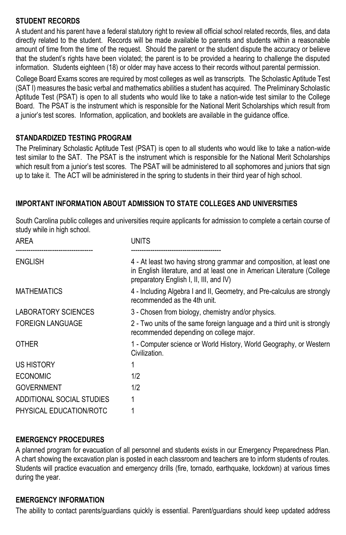# **STUDENT RECORDS**

A student and his parent have a federal statutory right to review all official school related records, files, and data directly related to the student. Records will be made available to parents and students within a reasonable amount of time from the time of the request. Should the parent or the student dispute the accuracy or believe that the student's rights have been violated; the parent is to be provided a hearing to challenge the disputed information. Students eighteen (18) or older may have access to their records without parental permission.

College Board Exams scores are required by most colleges as well as transcripts. The Scholastic Aptitude Test (SAT I) measures the basic verbal and mathematics abilities a student has acquired. The Preliminary Scholastic Aptitude Test (PSAT) is open to all students who would like to take a nation-wide test similar to the College Board. The PSAT is the instrument which is responsible for the National Merit Scholarships which result from a junior's test scores. Information, application, and booklets are available in the guidance office.

## **STANDARDIZED TESTING PROGRAM**

The Preliminary Scholastic Aptitude Test (PSAT) is open to all students who would like to take a nation-wide test similar to the SAT. The PSAT is the instrument which is responsible for the National Merit Scholarships which result from a junior's test scores. The PSAT will be administered to all sophomores and juniors that sign up to take it. The ACT will be administered in the spring to students in their third year of high school.

## **IMPORTANT INFORMATION ABOUT ADMISSION TO STATE COLLEGES AND UNIVERSITIES**

South Carolina public colleges and universities require applicants for admission to complete a certain course of study while in high school.

| AREA                       | <b>UNITS</b>                                                                                                                                                                               |
|----------------------------|--------------------------------------------------------------------------------------------------------------------------------------------------------------------------------------------|
| ENGLISH                    | 4 - At least two having strong grammar and composition, at least one<br>in English literature, and at least one in American Literature (College<br>preparatory English I, II, III, and IV) |
| <b>MATHEMATICS</b>         | 4 - Including Algebra I and II, Geometry, and Pre-calculus are strongly<br>recommended as the 4th unit.                                                                                    |
| <b>LABORATORY SCIENCES</b> | 3 - Chosen from biology, chemistry and/or physics.                                                                                                                                         |
| <b>FOREIGN LANGUAGE</b>    | 2 - Two units of the same foreign language and a third unit is strongly<br>recommended depending on college major.                                                                         |
| <b>OTHER</b>               | 1 - Computer science or World History, World Geography, or Western<br>Civilization.                                                                                                        |
| US HISTORY                 |                                                                                                                                                                                            |
| <b>ECONOMIC</b>            | 1/2                                                                                                                                                                                        |
| <b>GOVERNMENT</b>          | 1/2                                                                                                                                                                                        |
| ADDITIONAL SOCIAL STUDIES  |                                                                                                                                                                                            |
| PHYSICAL EDUCATION/ROTC    |                                                                                                                                                                                            |

## **EMERGENCY PROCEDURES**

A planned program for evacuation of all personnel and students exists in our Emergency Preparedness Plan. A chart showing the excavation plan is posted in each classroom and teachers are to inform students of routes. Students will practice evacuation and emergency drills (fire, tornado, earthquake, lockdown) at various times during the year.

#### **EMERGENCY INFORMATION**

The ability to contact parents/guardians quickly is essential. Parent/guardians should keep updated address